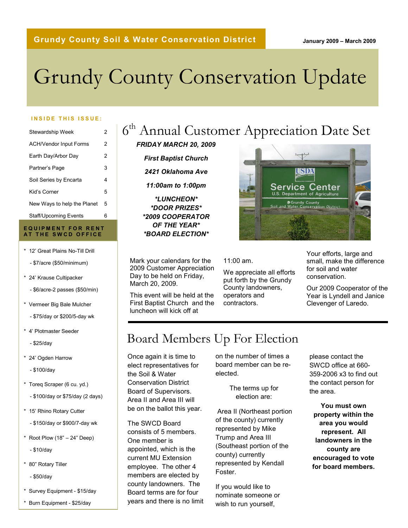#### January 2009 – March 2009

# Grundy County Conservation Update

#### INSIDE THIS ISSUE:

| Stewardship Week              | 2 |
|-------------------------------|---|
| <b>ACH/Vendor Input Forms</b> | 2 |
| Earth Day/Arbor Day           | 2 |
| Partner's Page                | 3 |
| Soil Series by Encarta        | 4 |
| Kid's Corner                  | 5 |
| New Ways to help the Planet   | 5 |
| Staff/Upcoming Events         | 6 |

#### EQUIPMENT FOR RENT AT THE SWCD OFFICE

- \* 12' Great Plains No-Till Drill
	- \$7/acre (\$50/minimum)
- \* 24' Krause Cultipacker
	- \$6/acre-2 passes (\$50/min)
- \* Vermeer Big Bale Mulcher
	- \$75/day or \$200/5-day wk
- \* 4' Plotmaster Seeder
	- \$25/day
- \* 24' Ogden Harrow
	- \$100/day
- \* Toreq Scraper (6 cu. yd.)
	- \$100/day or \$75/day (2 days)
- \* 15' Rhino Rotary Cutter
	- \$150/day or \$900/7-day wk
- $*$  Root Plow (18" 24" Deep)
	- \$10/day
- \* 80" Rotary Tiller
	- \$50/day
- \* Survey Equipment \$15/day
- \* Burn Equipment \$25/day

## 6<sup>th</sup> Annual Customer Appreciation Date Set

- FRIDAY MARCH 20, 2009
	- First Baptist Church
	- 2421 Oklahoma Ave
	- 11:00am to 1:00pm

\*LUNCHEON\* \*DOOR PRIZES\* \*2009 COOPERATOR OF THE YEAR\* \*BOARD ELECTION\*

Mark your calendars for the 2009 Customer Appreciation Day to be held on Friday, March 20, 2009.

This event will be held at the First Baptist Church and the luncheon will kick off at



11:00 am.

We appreciate all efforts put forth by the Grundy County landowners, operators and contractors.

Your efforts, large and small, make the difference for soil and water conservation.

Our 2009 Cooperator of the Year is Lyndell and Janice Clevenger of Laredo.

## Board Members Up For Election

Once again it is time to elect representatives for the Soil & Water Conservation District Board of Supervisors. Area II and Area III will be on the ballot this year.

consists of 5 members. The SWCD Board One member is appointed, which is the current MU Extension employee. The other 4 members are elected by county landowners. The Board terms are for four years and there is no limit on the number of times a board member can be reelected.

> The terms up for election are:

 Area II (Northeast portion of the county) currently represented by Mike Trump and Area III (Southeast portion of the county) currently represented by Kendall Foster.

If you would like to nominate someone or wish to run yourself,

please contact the SWCD office at 660- 359-2006 x3 to find out the contact person for the area.

You must own property within the area you would represent. All landowners in the county are encouraged to vote for board members.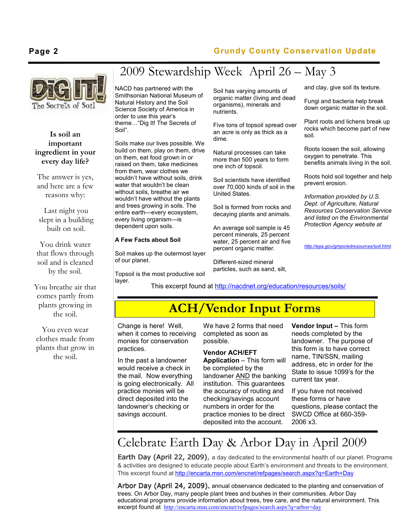### Page 2 Grundy County Conservation Update



#### Is soil an important ingredient in your every day life?

The answer is yes, and here are a few reasons why:

Last night you slept in a building built on soil.

You drink water that flows through soil and is cleaned by the soil.

You breathe air that comes partly from plants growing in the soil.

You even wear clothes made from plants that grow in the soil.

## 2009 Stewardship Week April 26 – May 3

NACD has partnered with the Smithsonian National Museum of Natural History and the Soil Science Society of America in order to use this year's theme…"Dig It! The Secrets of Soil".

Soils make our lives possible. We build on them, play on them, drive on them, eat food grown in or raised on them, take medicines from them, wear clothes we wouldn't have without soils, drink water that wouldn't be clean without soils, breathe air we wouldn't have without the plants and trees growing in soils. The entire earth—every ecosystem, every living organism—is dependent upon soils.

#### A Few Facts about Soil

Soil makes up the outermost layer of our planet.

Topsoil is the most productive soil layer.

Soil has varying amounts of organic matter (living and dead organisms), minerals and nutrients.

Five tons of topsoil spread over an acre is only as thick as a dime.

Natural processes can take more than 500 years to form one inch of topsoil.

Soil scientists have identified over 70,000 kinds of soil in the United States.

Soil is formed from rocks and decaying plants and animals.

An average soil sample is 45 percent minerals, 25 percent water, 25 percent air and five percent organic matter.

Different-sized mineral particles, such as sand, silt, and clay, give soil its texture.

Fungi and bacteria help break down organic matter in the soil.

Plant roots and lichens break up rocks which become part of new soil.

Roots loosen the soil, allowing oxygen to penetrate. This benefits animals living in the soil.

Roots hold soil together and help prevent erosion.

Information provided by U.S. Dept. of Agriculture, Natural Resources Conservation Service and listed on the Environmental Protection Agency website at

http://epa.gov/gmpo/edresources/soil.html.

This excerpt found at http://nacdnet.org/education/resources/soils/

### ACH/Vendor Input Forms

Change is here! Well, when it comes to receiving monies for conservation practices.

In the past a landowner would receive a check in the mail. Now everything is going electronically. All practice monies will be direct deposited into the landowner's checking or savings account.

I

I

We have 2 forms that need completed as soon as possible.

#### Vendor ACH/EFT

Application – This form will be completed by the landowner AND the banking institution. This guarantees the accuracy of routing and checking/savings account numbers in order for the practice monies to be direct deposited into the account.

Vendor Input – This form needs completed by the landowner. The purpose of this form is to have correct name, TIN/SSN, mailing address, etc in order for the State to issue 1099's for the current tax year.

If you have not received these forms or have questions, please contact the SWCD Office at 660-359- 2006 x3.

### Celebrate Earth Day & Arbor Day in April 2009

Earth Day (April 22, 2009), a day dedicated to the environmental health of our planet. Programs & activities are designed to educate people about Earth's environment and threats to the environment. This excerpt found at http://encarta.msn.com/encnet/refpages/search.aspx?q=Earth+Day

Arbor Day (April 24, 2009), annual observance dedicated to the planting and conservation of trees. On Arbor Day, many people plant trees and bushes in their communities. Arbor Day educational programs provide information about trees, tree care, and the natural environment. This excerpt found at http://encarta.msn.com/encnet/refpages/search.aspx?q=arbor+day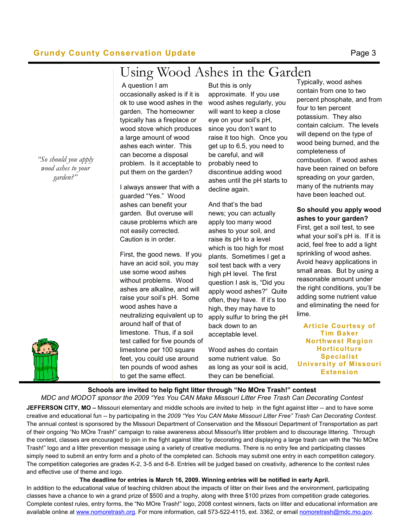#### Grundy County Conservation Update **Example 2018** Page 3

## Using Wood Ashes in the Garden

A question I am

occasionally asked is if it is ok to use wood ashes in the garden. The homeowner typically has a fireplace or wood stove which produces a large amount of wood ashes each winter. This can become a disposal problem. Is it acceptable to put them on the garden?

I always answer that with a guarded "Yes." Wood ashes can benefit your garden. But overuse will cause problems which are not easily corrected. Caution is in order.

First, the good news. If you have an acid soil, you may use some wood ashes without problems. Wood ashes are alkaline, and will raise your soil's pH. Some wood ashes have a neutralizing equivalent up to around half of that of limestone. Thus, if a soil test called for five pounds of limestone per 100 square feet, you could use around ten pounds of wood ashes to get the same effect.

But this is only approximate. If you use wood ashes regularly, you will want to keep a close eye on your soil's pH, since you don't want to raise it too high. Once you get up to 6.5, you need to be careful, and will probably need to discontinue adding wood ashes until the pH starts to decline again.

And that's the bad news; you can actually apply too many wood ashes to your soil, and raise its pH to a level which is too high for most plants. Sometimes I get a soil test back with a very high pH level. The first question I ask is, "Did you apply wood ashes?" Quite often, they have. If it's too high, they may have to apply sulfur to bring the pH back down to an acceptable level.

Wood ashes do contain some nutrient value. So as long as your soil is acid, they can be beneficial.

Typically, wood ashes contain from one to two percent phosphate, and from four to ten percent potassium. They also contain calcium. The levels will depend on the type of wood being burned, and the completeness of combustion. If wood ashes have been rained on before spreading on your garden, many of the nutrients may have been leached out.

So should you apply wood ashes to your garden? First, get a soil test, to see what your soil's pH is. If it is acid, feel free to add a light sprinkling of wood ashes. Avoid heavy applications in small areas. But by using a reasonable amount under the right conditions, you'll be adding some nutrient value and eliminating the need for lime.

Article Courtesy of Tim Baker Northwest Region **Horticulture** Specialist University of Missouri Extension

Schools are invited to help fight litter through "No MOre Trash!" contest

JEFFERSON CITY, MO – Missouri elementary and middle schools are invited to help in the fight against litter -- and to have some MDC and MODOT sponsor the 2009 "Yes You CAN Make Missouri Litter Free Trash Can Decorating Contest

creative and educational fun -- by participating in the 2009 "Yes You CAN Make Missouri Litter Free" Trash Can Decorating Contest. The annual contest is sponsored by the Missouri Department of Conservation and the Missouri Department of Transportation as part of their ongoing "No MOre Trash!" campaign to raise awareness about Missouri's litter problem and to discourage littering. Through the contest, classes are encouraged to join in the fight against litter by decorating and displaying a large trash can with the "No MOre Trash!" logo and a litter prevention message using a variety of creative mediums. There is no entry fee and participating classes simply need to submit an entry form and a photo of the completed can. Schools may submit one entry in each competition category. The competition categories are grades K-2, 3-5 and 6-8. Entries will be judged based on creativity, adherence to the contest rules and effective use of theme and logo.

The deadline for entries is March 16, 2009. Winning entries will be notified in early April.

In addition to the educational value of teaching children about the impacts of litter on their lives and the environment, participating classes have a chance to win a grand prize of \$500 and a trophy, along with three \$100 prizes from competition grade categories. Complete contest rules, entry forms, the "No MOre Trash!" logo, 2008 contest winners, facts on litter and educational information are available online at www.nomoretrash.org. For more information, call 573-522-4115, ext. 3362, or email nomoretrash@mdc.mo.gov.



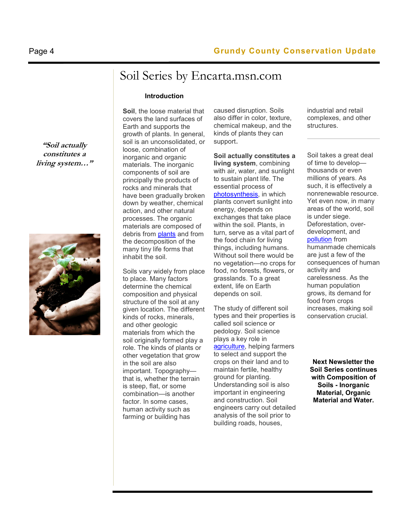### Soil Series by Encarta.msn.com

#### Introduction

Soil, the loose material that covers the land surfaces of Earth and supports the growth of plants. In general, soil is an unconsolidated, or loose, combination of inorganic and organic materials. The inorganic components of soil are principally the products of rocks and minerals that have been gradually broken down by weather, chemical action, and other natural processes. The organic materials are composed of debris from plants and from the decomposition of the many tiny life forms that inhabit the soil.

Soils vary widely from place to place. Many factors determine the chemical composition and physical structure of the soil at any given location. The different kinds of rocks, minerals, and other geologic materials from which the soil originally formed play a role. The kinds of plants or other vegetation that grow in the soil are also important. Topography that is, whether the terrain is steep, flat, or some combination—is another factor. In some cases, human activity such as farming or building has

caused disruption. Soils also differ in color, texture, chemical makeup, and the kinds of plants they can support.

Soil actually constitutes a living system, combining with air, water, and sunlight to sustain plant life. The essential process of photosynthesis, in which plants convert sunlight into energy, depends on exchanges that take place within the soil. Plants, in turn, serve as a vital part of the food chain for living things, including humans. Without soil there would be no vegetation—no crops for food, no forests, flowers, or grasslands. To a great extent, life on Earth depends on soil.

The study of different soil types and their properties is called soil science or pedology. Soil science plays a key role in agriculture, helping farmers to select and support the crops on their land and to maintain fertile, healthy ground for planting. Understanding soil is also important in engineering and construction. Soil engineers carry out detailed analysis of the soil prior to building roads, houses,

industrial and retail complexes, and other structures.

Soil takes a great deal of time to develop thousands or even millions of years. As such, it is effectively a nonrenewable resource. Yet even now, in many areas of the world, soil is under siege. Deforestation, overdevelopment, and pollution from humanmade chemicals are just a few of the consequences of human activity and carelessness. As the human population grows, its demand for food from crops increases, making soil conservation crucial.

Next Newsletter the Soil Series continues with Composition of Soils - Inorganic Material, Organic Material and Water.



"Soil actually constitutes a living system…"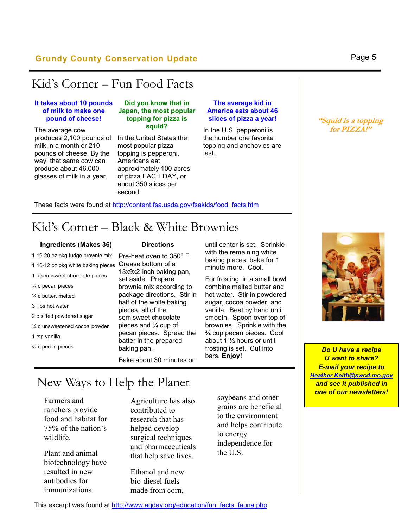#### Grundy County Conservation Update **Example 2018** Page 5

### Kid's Corner – Fun Food Facts

#### It takes about 10 pounds of milk to make one pound of cheese!

The average cow produces 2,100 pounds of milk in a month or 210 pounds of cheese. By the way, that same cow can produce about 46,000 glasses of milk in a year.

#### Did you know that in Japan, the most popular topping for pizza is squid?

In the United States the most popular pizza topping is pepperoni. Americans eat approximately 100 acres of pizza EACH DAY, or about 350 slices per second.

#### The average kid in America eats about 46 slices of pizza a year!

In the U.S. pepperoni is the number one favorite topping and anchovies are last.

"Squid is a topping for PIZZA!"

#### These facts were found at http://content.fsa.usda.gov/fsakids/food facts.htm

### Kid's Corner – Black & White Brownies

#### Ingredients (Makes 36)

1 19-20 oz pkg fudge brownie mix 1 10-12 oz pkg white baking pieces 1 c semisweet chocolate pieces ¼ c pecan pieces ¼ c butter, melted 3 Tbs hot water 2 c sifted powdered sugar ¼ c unsweetened cocoa powder 1 tsp vanilla ¾ c pecan pieces

#### **Directions**

Pre-heat oven to 350° F. Grease bottom of a 13x9x2-inch baking pan, set aside. Prepare brownie mix according to package directions. Stir in half of the white baking pieces, all of the semisweet chocolate pieces and ¼ cup of pecan pieces. Spread the batter in the prepared baking pan.

until center is set. Sprinkle with the remaining white baking pieces, bake for 1 minute more. Cool.

For frosting, in a small bowl combine melted butter and hot water. Stir in powdered sugar, cocoa powder, and vanilla. Beat by hand until smooth. Spoon over top of brownies. Sprinkle with the ¾ cup pecan pieces. Cool about 1 ½ hours or until frosting is set. Cut into bars. Enjoy!

Bake about 30 minutes or

### New Ways to Help the Planet

Farmers and ranchers provide food and habitat for 75% of the nation's wildlife.

Plant and animal biotechnology have resulted in new antibodies for immunizations.

Agriculture has also contributed to research that has helped develop surgical techniques and pharmaceuticals that help save lives.

Ethanol and new bio-diesel fuels made from corn,

soybeans and other grains are beneficial to the environment and helps contribute to energy independence for the U.S.



Do U have a recipe **U** want to share? E-mail your recipe to Heather.Keith@swcd.mo.gov and see it published in one of our newsletters!